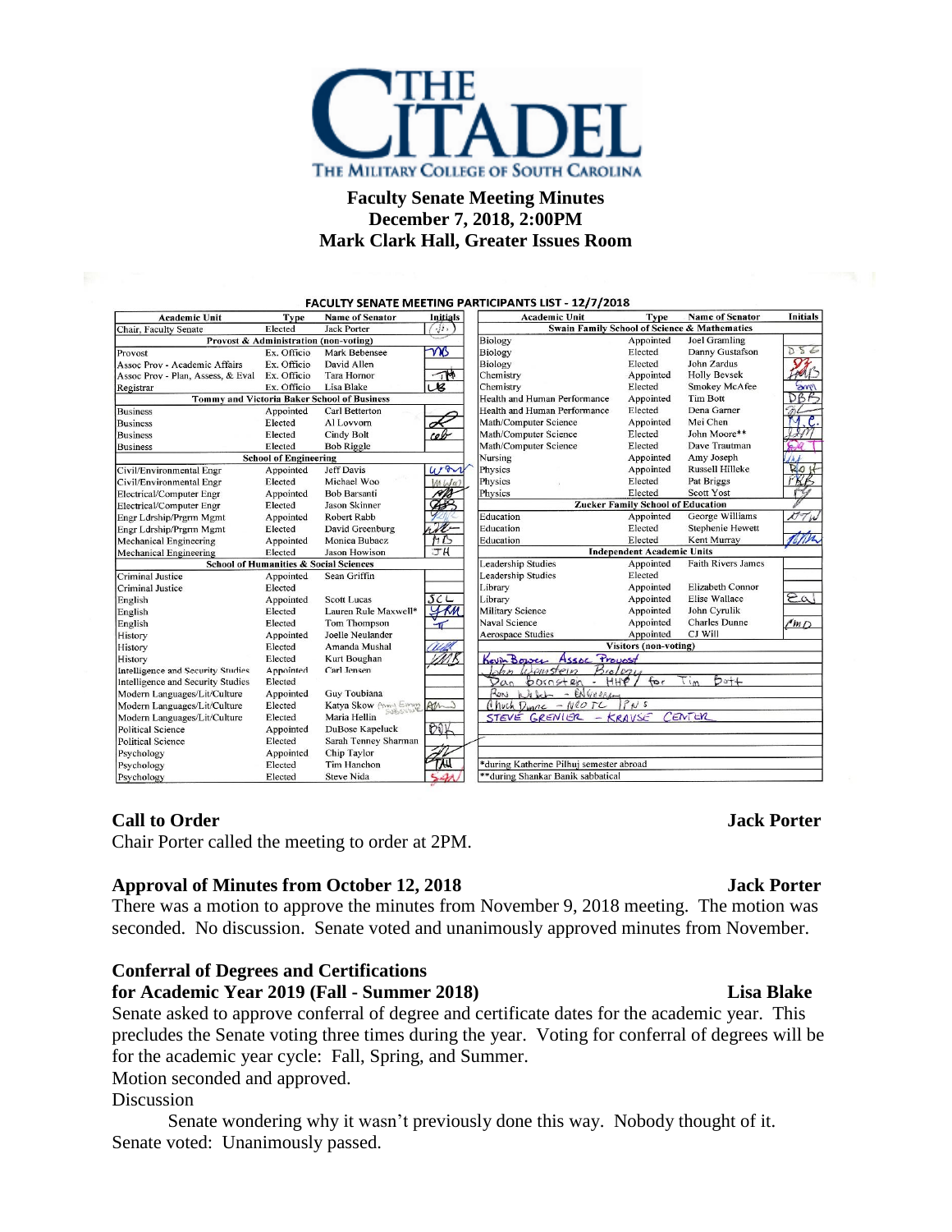

# **Faculty Senate Meeting Minutes December 7, 2018, 2:00PM Mark Clark Hall, Greater Issues Room**

| <b>Academic Unit</b>                                             | <b>Type</b>                           | <b>Name of Senator</b> | <b>Initials</b>                              | <b>Academic Unit</b>                                                                     | <b>Type</b>                       | <b>Name of Senator</b> | <b>Initials</b> |
|------------------------------------------------------------------|---------------------------------------|------------------------|----------------------------------------------|------------------------------------------------------------------------------------------|-----------------------------------|------------------------|-----------------|
| $\cup$<br>Elected<br><b>Jack Porter</b><br>Chair, Faculty Senate |                                       |                        | Swain Family School of Science & Mathematics |                                                                                          |                                   |                        |                 |
|                                                                  | Provost & Administration (non-voting) |                        |                                              | <b>Biology</b>                                                                           | Appointed                         | Joel Gramling          |                 |
| Provost                                                          | Ex. Officio                           | Mark Bebensee          | ms                                           | Biology                                                                                  | Elected                           | Danny Gustafson        | 556             |
| Assoc Prov - Academic Affairs                                    | Ex. Officio                           | David Allen            |                                              | <b>Biology</b>                                                                           | Elected                           | John Zardus            | $\Omega$        |
| Assoc Prov - Plan, Assess, & Eval                                | Ex. Officio                           | Tara Hornor            | $\overline{\mathbb{R}}$                      | Chemistry                                                                                | Appointed                         | <b>Holly Bevsek</b>    | M <sub>1</sub>  |
| Registrar                                                        | Ex. Officio                           | Lisa Blake             | $\overline{\mathcal{R}}$                     | Chemistry                                                                                | Elected                           | Smokey McAfee          | me              |
| <b>Tommy and Victoria Baker School of Business</b>               |                                       |                        |                                              | Health and Human Performance                                                             | Appointed                         | <b>Tim Bott</b>        | DBB             |
| <b>Business</b>                                                  | Appointed                             | Carl Betterton         |                                              | Health and Human Performance                                                             | Elected                           | Dena Garner            |                 |
| <b>Business</b>                                                  | Elected                               | Al Lovvorn             | А                                            | Math/Computer Science                                                                    | Appointed                         | Mei Chen               | .c.<br>M        |
| <b>Business</b>                                                  | Elected                               | Cindy Bolt             | cel                                          | Math/Computer Science                                                                    | Elected                           | John Moore**           |                 |
| <b>Business</b>                                                  | Elected                               | <b>Bob Riggle</b>      |                                              | Math/Computer Science                                                                    | Elected                           | Dave Trautman          | $\Omega$        |
| <b>School of Engineering</b>                                     |                                       |                        | Nursing                                      | Appointed                                                                                | Amy Joseph                        | 4kL                    |                 |
| Civil/Environmental Engr                                         | Appointed                             | <b>Jeff Davis</b>      | won                                          | Physics                                                                                  | Appointed                         | <b>Russell Hilleke</b> | RQH             |
| Civil/Environmental Engr                                         | Elected                               | Michael Woo            | $M M \alpha$                                 | Physics                                                                                  | Elected                           | Pat Briggs             | PRB             |
| Electrical/Computer Engr                                         | Appointed                             | <b>Bob Barsanti</b>    | H I.                                         | Physics                                                                                  | Elected                           | <b>Scott Yost</b>      |                 |
| Electrical/Computer Engr                                         | Elected                               | <b>Jason Skinner</b>   | <b>CANE</b>                                  | <b>Zucker Family School of Education</b>                                                 |                                   |                        |                 |
| Engr Ldrship/Prgrm Mgmt                                          | Appointed                             | Robert Rabb            |                                              | Education                                                                                | Appointed                         | George Williams        | DTW             |
| Engr Ldrship/Prgrm Mgmt                                          | Elected                               | David Greenburg        | Ħ                                            | Education                                                                                | Elected                           | Stephenie Hewett       |                 |
| <b>Mechanical Engineering</b>                                    | Appointed                             | Monica Bubacz          | H5                                           | Education                                                                                | Elected                           | Kent Murray            | mr              |
| <b>Mechanical Engineering</b>                                    | Elected                               | Jason Howison          | JH                                           |                                                                                          | <b>Independent Academic Units</b> |                        |                 |
| School of Humanities & Social Sciences                           |                                       |                        | <b>Leadership Studies</b>                    | Appointed                                                                                | <b>Faith Rivers James</b>         |                        |                 |
| Criminal Justice                                                 | Appointed                             | Sean Griffin           |                                              | <b>Leadership Studies</b>                                                                | Elected                           |                        |                 |
| <b>Criminal Justice</b>                                          | Elected                               |                        |                                              | Library                                                                                  | Appointed                         | Elizabeth Connor       |                 |
| English                                                          | Appointed                             | <b>Scott Lucas</b>     | SCL                                          | Library                                                                                  | Appointed                         | Elise Wallace          | 2a              |
| English                                                          | Elected                               | Lauren Rule Maxwell*   | KM                                           | <b>Military Science</b>                                                                  | Appointed                         | John Cyrulik           |                 |
| English                                                          | Elected                               | Tom Thompson           |                                              | Naval Science                                                                            | Appointed                         | <b>Charles Dunne</b>   | $\ell$ m $D$    |
| History                                                          | Appointed                             | Joelle Neulander       |                                              | <b>Aerospace Studies</b>                                                                 | Appointed                         | CJ Will                |                 |
| History                                                          | Elected                               | Amanda Mushal          |                                              | Visitors (non-voting)                                                                    |                                   |                        |                 |
| History                                                          | Elected                               | Kurt Boughan           |                                              | Provost<br>Kevin Bower<br>Assne                                                          |                                   |                        |                 |
| Intelligence and Security Studies                                | Appointed                             | Carl Jensen            |                                              | B <sub>10</sub> /qq<br>Shn Weinstein                                                     |                                   |                        |                 |
| Intelligence and Security Studies                                | Elected                               |                        |                                              | $b$ of $+$<br>for<br>HHP/<br>601042n<br>Van<br>$\overline{\phantom{a}}$<br>$\frac{1}{2}$ |                                   |                        |                 |
| Modern Languages/Lit/Culture                                     | Appointed                             | Guy Toubiana           |                                              | Roni<br>Welch<br>$ \mathbf{e}\mathbf{N}$ Green                                           |                                   |                        |                 |
| Modern Languages/Lit/Culture                                     | Elected                               | Katya Skow Amy Emmy    | $AM-1$                                       | PNS<br>Chuck Dunne - Neo IC                                                              |                                   |                        |                 |
| Modern Languages/Lit/Culture                                     | Elected                               | Maria Hellin           |                                              | CENTER<br>STEVE GRENIER<br>$-KRAVSE$                                                     |                                   |                        |                 |
| <b>Political Science</b>                                         | Appointed                             | DuBose Kapeluck        | OOK                                          |                                                                                          |                                   |                        |                 |
| <b>Political Science</b>                                         | Elected                               | Sarah Tenney Sharman   |                                              |                                                                                          |                                   |                        |                 |
| Psychology                                                       | Appointed                             | Chip Taylor            |                                              |                                                                                          |                                   |                        |                 |
| Psychology                                                       | Elected                               | Tim Hanchon            |                                              | *during Katherine Pilhuj semester abroad                                                 |                                   |                        |                 |
| Dovebolomi                                                       | Elected                               | Cteve Nide             |                                              | **during Shankar Banik sabbatical                                                        |                                   |                        |                 |

# **Call to Order Jack Porter**

Chair Porter called the meeting to order at 2PM.

## **Approval of Minutes from October 12, 2018 Jack Porter**

There was a motion to approve the minutes from November 9, 2018 meeting. The motion was seconded. No discussion. Senate voted and unanimously approved minutes from November.

# **Conferral of Degrees and Certifications**

**for Academic Year 2019 (Fall - Summer 2018) Lisa Blake**

Senate asked to approve conferral of degree and certificate dates for the academic year. This precludes the Senate voting three times during the year. Voting for conferral of degrees will be for the academic year cycle: Fall, Spring, and Summer.

Motion seconded and approved.

## Discussion

Senate wondering why it wasn't previously done this way. Nobody thought of it. Senate voted: Unanimously passed.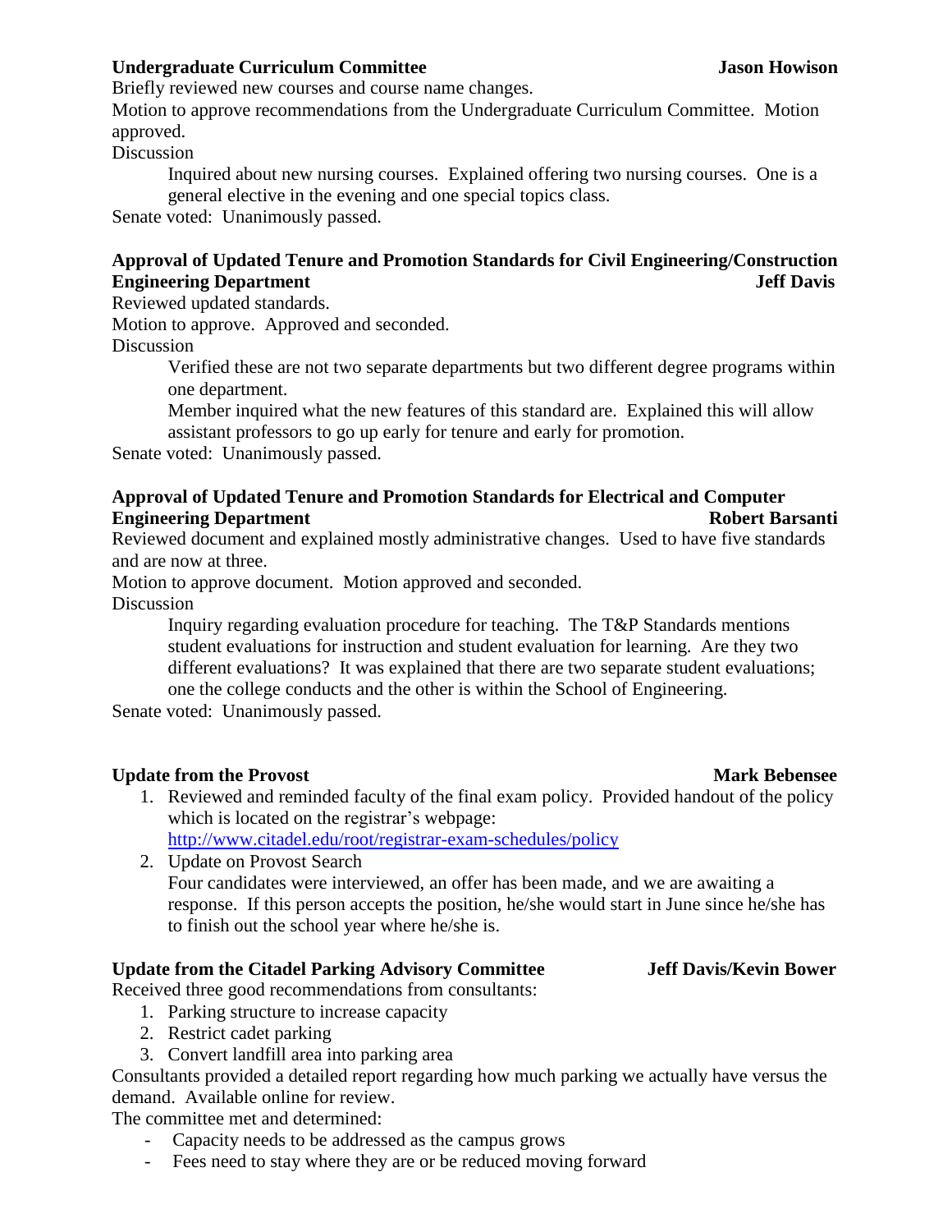## **Undergraduate Curriculum Committee Jason Howison**

Briefly reviewed new courses and course name changes.

Motion to approve recommendations from the Undergraduate Curriculum Committee. Motion approved.

Discussion

Inquired about new nursing courses. Explained offering two nursing courses. One is a general elective in the evening and one special topics class.

Senate voted: Unanimously passed.

# **Approval of Updated Tenure and Promotion Standards for Civil Engineering/Construction Engineering Department** Jeff Davis

## Reviewed updated standards.

Motion to approve. Approved and seconded.

Discussion

Verified these are not two separate departments but two different degree programs within one department.

Member inquired what the new features of this standard are. Explained this will allow assistant professors to go up early for tenure and early for promotion.

Senate voted: Unanimously passed.

## **Approval of Updated Tenure and Promotion Standards for Electrical and Computer Engineering Department Robert Barsanti**

Reviewed document and explained mostly administrative changes. Used to have five standards and are now at three.

Motion to approve document. Motion approved and seconded.

Discussion

Inquiry regarding evaluation procedure for teaching. The T&P Standards mentions student evaluations for instruction and student evaluation for learning. Are they two different evaluations? It was explained that there are two separate student evaluations; one the college conducts and the other is within the School of Engineering.

Senate voted: Unanimously passed.

## **Update from the Provost** Mark Bebensee **Mark Mark Bebensee**

1. Reviewed and reminded faculty of the final exam policy. Provided handout of the policy which is located on the registrar's webpage: <http://www.citadel.edu/root/registrar-exam-schedules/policy>

2. Update on Provost Search Four candidates were interviewed, an offer has been made, and we are awaiting a response. If this person accepts the position, he/she would start in June since he/she has to finish out the school year where he/she is.

## **Update from the Citadel Parking Advisory Committee Jeff Davis/Kevin Bower**

Received three good recommendations from consultants:

- 1. Parking structure to increase capacity
- 2. Restrict cadet parking
- 3. Convert landfill area into parking area

Consultants provided a detailed report regarding how much parking we actually have versus the demand. Available online for review.

The committee met and determined:

- Capacity needs to be addressed as the campus grows
- Fees need to stay where they are or be reduced moving forward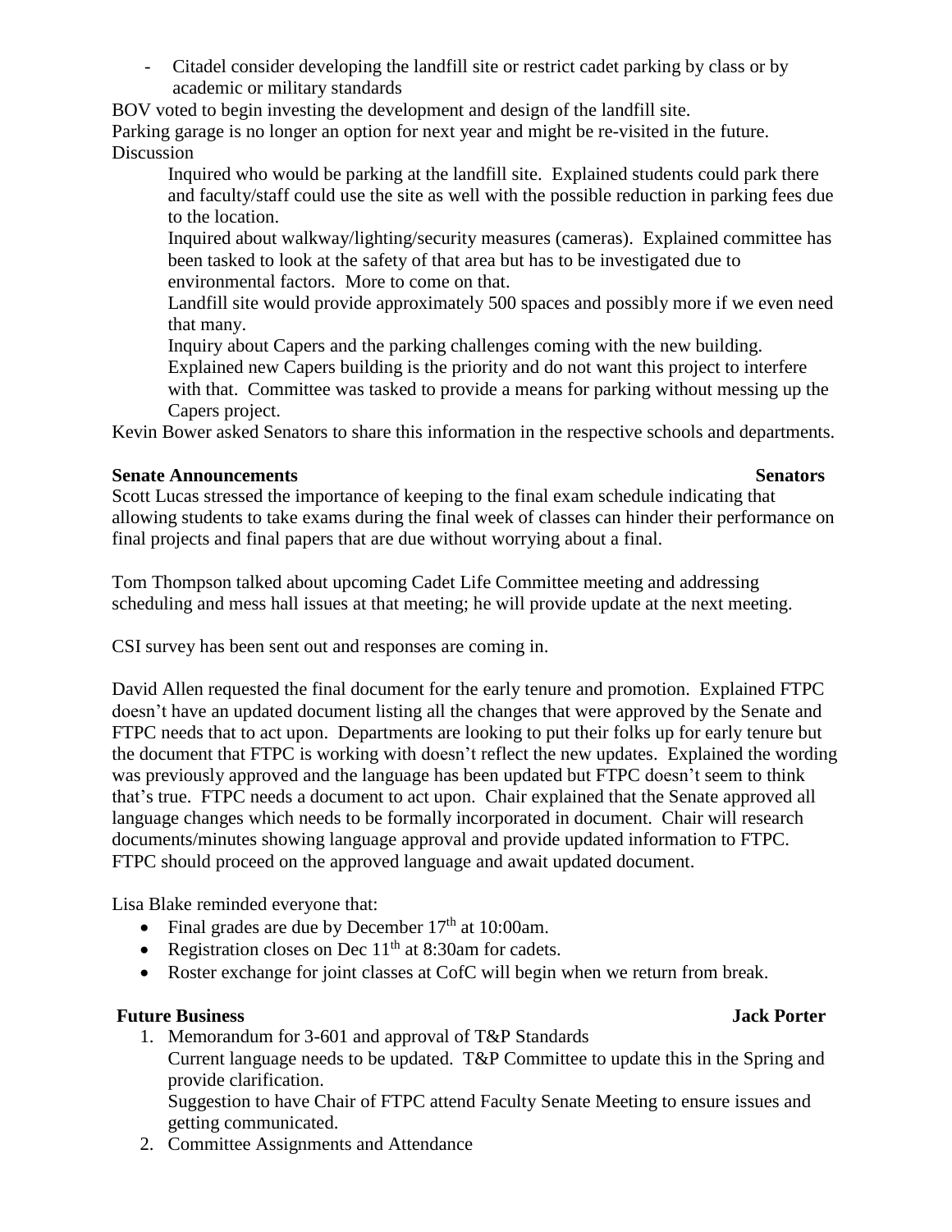- Citadel consider developing the landfill site or restrict cadet parking by class or by academic or military standards

BOV voted to begin investing the development and design of the landfill site.

Parking garage is no longer an option for next year and might be re-visited in the future. Discussion

Inquired who would be parking at the landfill site. Explained students could park there and faculty/staff could use the site as well with the possible reduction in parking fees due to the location.

Inquired about walkway/lighting/security measures (cameras). Explained committee has been tasked to look at the safety of that area but has to be investigated due to environmental factors. More to come on that.

Landfill site would provide approximately 500 spaces and possibly more if we even need that many.

Inquiry about Capers and the parking challenges coming with the new building. Explained new Capers building is the priority and do not want this project to interfere with that. Committee was tasked to provide a means for parking without messing up the Capers project.

Kevin Bower asked Senators to share this information in the respective schools and departments.

# **Senate Announcements** Senators

Scott Lucas stressed the importance of keeping to the final exam schedule indicating that allowing students to take exams during the final week of classes can hinder their performance on final projects and final papers that are due without worrying about a final.

Tom Thompson talked about upcoming Cadet Life Committee meeting and addressing scheduling and mess hall issues at that meeting; he will provide update at the next meeting.

CSI survey has been sent out and responses are coming in.

David Allen requested the final document for the early tenure and promotion. Explained FTPC doesn't have an updated document listing all the changes that were approved by the Senate and FTPC needs that to act upon. Departments are looking to put their folks up for early tenure but the document that FTPC is working with doesn't reflect the new updates. Explained the wording was previously approved and the language has been updated but FTPC doesn't seem to think that's true. FTPC needs a document to act upon. Chair explained that the Senate approved all language changes which needs to be formally incorporated in document. Chair will research documents/minutes showing language approval and provide updated information to FTPC. FTPC should proceed on the approved language and await updated document.

Lisa Blake reminded everyone that:

- Final grades are due by December  $17<sup>th</sup>$  at  $10:00$ am.
- Registration closes on Dec  $11<sup>th</sup>$  at 8:30am for cadets.
- Roster exchange for joint classes at CofC will begin when we return from break.

# **Future Business Jack Porter**

1. Memorandum for 3-601 and approval of T&P Standards

Current language needs to be updated. T&P Committee to update this in the Spring and provide clarification.

Suggestion to have Chair of FTPC attend Faculty Senate Meeting to ensure issues and getting communicated.

2. Committee Assignments and Attendance